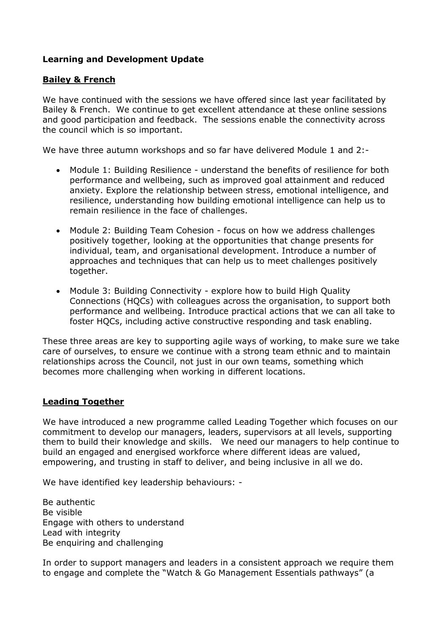# **Learning and Development Update**

## **Bailey & French**

We have continued with the sessions we have offered since last year facilitated by Bailey & French. We continue to get excellent attendance at these online sessions and good participation and feedback. The sessions enable the connectivity across the council which is so important.

We have three autumn workshops and so far have delivered Module 1 and 2:-

- Module 1: Building Resilience understand the benefits of resilience for both performance and wellbeing, such as improved goal attainment and reduced anxiety. Explore the relationship between stress, emotional intelligence, and resilience, understanding how building emotional intelligence can help us to remain resilience in the face of challenges.
- Module 2: Building Team Cohesion focus on how we address challenges positively together, looking at the opportunities that change presents for individual, team, and organisational development. Introduce a number of approaches and techniques that can help us to meet challenges positively together.
- Module 3: Building Connectivity explore how to build High Quality Connections (HQCs) with colleagues across the organisation, to support both performance and wellbeing. Introduce practical actions that we can all take to foster HQCs, including active constructive responding and task enabling.

These three areas are key to supporting agile ways of working, to make sure we take care of ourselves, to ensure we continue with a strong team ethnic and to maintain relationships across the Council, not just in our own teams, something which becomes more challenging when working in different locations.

## **Leading Together**

We have introduced a new programme called Leading Together which focuses on our commitment to develop our managers, leaders, supervisors at all levels, supporting them to build their knowledge and skills. We need our managers to help continue to build an engaged and energised workforce where different ideas are valued, empowering, and trusting in staff to deliver, and being inclusive in all we do.

We have identified key leadership behaviours: -

Be authentic Be visible Engage with others to understand Lead with integrity Be enquiring and challenging

In order to support managers and leaders in a consistent approach we require them to engage and complete the "Watch & Go Management Essentials pathways" (a